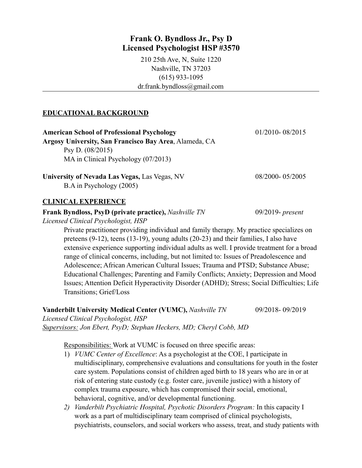# **Frank O. Byndloss Jr., Psy D Licensed Psychologist HSP #3570**

210 25th Ave, N, Suite 1220 Nashville, TN 37203 (615) 933-1095 dr.frank.byndloss@gmail.com

# **EDUCATIONAL BACKGROUND**

| <b>American School of Professional Psychology</b>                         | $01/2010 - 08/2015$ |
|---------------------------------------------------------------------------|---------------------|
| Argosy University, San Francisco Bay Area, Alameda, CA                    |                     |
| Psy D. $(08/2015)$                                                        |                     |
| MA in Clinical Psychology $(07/2013)$                                     |                     |
| University of Nevada Las Vegas, Las Vegas, NV<br>B.A in Psychology (2005) | 08/2000-05/2005     |

## **CLINICAL EXPERIENCE**

## **Frank Byndloss, PsyD (private practice),** *Nashville TN* 09/2019- *present*

*Licensed Clinical Psychologist, HSP*

Private practitioner providing individual and family therapy. My practice specializes on preteens (9-12), teens (13-19), young adults (20-23) and their families, I also have extensive experience supporting individual adults as well. I provide treatment for a broad range of clinical concerns, including, but not limited to: Issues of Preadolescence and Adolescence; African American Cultural Issues; Trauma and PTSD; Substance Abuse; Educational Challenges; Parenting and Family Conflicts; Anxiety; Depression and Mood Issues; Attention Deficit Hyperactivity Disorder (ADHD); Stress; Social Difficulties; Life Transitions; Grief/Loss

**Vanderbilt University Medical Center (VUMC),** *Nashville TN* 09/2018- 09/2019 *Licensed Clinical Psychologist, HSP Supervisors: Jon Ebert, PsyD; Stephan Heckers, MD; Cheryl Cobb, MD* 

Responsibilities: Work at VUMC is focused on three specific areas:

- 1) *VUMC Center of Excellence*: As a psychologist at the COE, I participate in multidisciplinary, comprehensive evaluations and consultations for youth in the foster care system. Populations consist of children aged birth to 18 years who are in or at risk of entering state custody (e.g. foster care, juvenile justice) with a history of complex trauma exposure, which has compromised their social, emotional, behavioral, cognitive, and/or developmental functioning.
- *2) Vanderbilt Psychiatric Hospital, Psychotic Disorders Program:* In this capacity I work as a part of multidisciplinary team comprised of clinical psychologists, psychiatrists, counselors, and social workers who assess, treat, and study patients with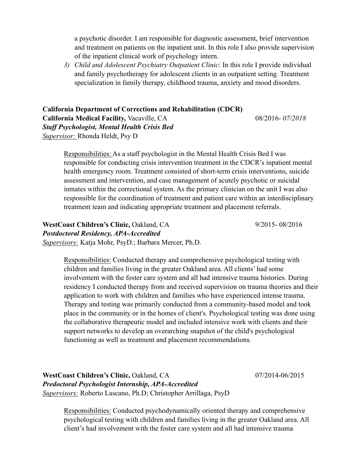a psychotic disorder. I am responsible for diagnostic assessment, brief intervention and treatment on patients on the inpatient unit. In this role I also provide supervision of the inpatient clinical work of psychology intern.

*3) Child and Adolescent Psychiatry Outpatient Clinic*: In this role I provide individual and family psychotherapy for adolescent clients in an outpatient setting. Treatment specialization in family therapy, childhood trauma, anxiety and mood disorders.

**California Department of Corrections and Rehabilitation (CDCR) California Medical Facility,** Vacaville, CA 08/2016- *07/2018 Staff Psychologist, Mental Health Crisis Bed Supervisor:* Rhonda Heldt, Psy D

Responsibilities: As a staff psychologist in the Mental Health Crisis Bed I was responsible for conducting crisis intervention treatment in the CDCR's inpatient mental health emergency room. Treatment consisted of short-term crisis interventions, suicide assessment and intervention, and case management of acutely psychotic or suicidal inmates within the correctional system. As the primary clinician on the unit I was also responsible for the coordination of treatment and patient care within an interdisciplinary treatment team and indicating appropriate treatment and placement referrals.

**WestCoast Children's Clinic,** Oakland, CA9/2015- 08/2016 *Postdoctoral Residency, APA-Accredited Supervisors:* Katja Mohr, PsyD.; Barbara Mercer, Ph.D.

Responsibilities: Conducted therapy and comprehensive psychological testing with children and families living in the greater Oakland area. All clients' had some involvement with the foster care system and all had intensive trauma histories. During residency I conducted therapy from and received supervision on trauma theories and their application to work with children and families who have experienced intense trauma. Therapy and testing was primarily conducted from a community-based model and took place in the community or in the homes of client's. Psychological testing was done using the collaborative therapeutic model and included intensive work with clients and their support networks to develop an overarching snapshot of the child's psychological functioning as well as treatment and placement recommendations.

**WestCoast Children's Clinic,** Oakland, CA07/2014-06/2015 *Predoctoral Psychologist Internship, APA-Accredited Supervisors:* Roberto Lascano, Ph.D; Christopher Arrillaga, PsyD

Responsibilities: Conducted psychodynamically oriented therapy and comprehensive psychological testing with children and families living in the greater Oakland area. All client's had involvement with the foster care system and all had intensive trauma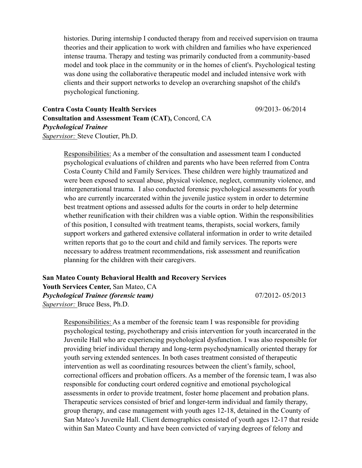histories. During internship I conducted therapy from and received supervision on trauma theories and their application to work with children and families who have experienced intense trauma. Therapy and testing was primarily conducted from a community-based model and took place in the community or in the homes of client's. Psychological testing was done using the collaborative therapeutic model and included intensive work with clients and their support networks to develop an overarching snapshot of the child's psychological functioning.

**Contra Costa County Health Services** 09/2013- 06/2014 **Consultation and Assessment Team (CAT),** Concord, CA *Psychological Trainee Supervisor:* Steve Cloutier, Ph.D.

Responsibilities: As a member of the consultation and assessment team I conducted psychological evaluations of children and parents who have been referred from Contra Costa County Child and Family Services. These children were highly traumatized and were been exposed to sexual abuse, physical violence, neglect, community violence, and intergenerational trauma. I also conducted forensic psychological assessments for youth who are currently incarcerated within the juvenile justice system in order to determine best treatment options and assessed adults for the courts in order to help determine whether reunification with their children was a viable option. Within the responsibilities of this position, I consulted with treatment teams, therapists, social workers, family support workers and gathered extensive collateral information in order to write detailed written reports that go to the court and child and family services. The reports were necessary to address treatment recommendations, risk assessment and reunification planning for the children with their caregivers.

**San Mateo County Behavioral Health and Recovery Services Youth Services Center,** San Mateo, CA *Psychological Trainee (forensic team)* 07/2012- 05/2013 *Supervisor:* Bruce Bess, Ph.D.

Responsibilities: As a member of the forensic team I was responsible for providing psychological testing, psychotherapy and crisis intervention for youth incarcerated in the Juvenile Hall who are experiencing psychological dysfunction. I was also responsible for providing brief individual therapy and long-term psychodynamically oriented therapy for youth serving extended sentences. In both cases treatment consisted of therapeutic intervention as well as coordinating resources between the client's family, school, correctional officers and probation officers. As a member of the forensic team, I was also responsible for conducting court ordered cognitive and emotional psychological assessments in order to provide treatment, foster home placement and probation plans. Therapeutic services consisted of brief and longer-term individual and family therapy, group therapy, and case management with youth ages 12-18, detained in the County of San Mateo's Juvenile Hall. Client demographics consisted of youth ages 12-17 that reside within San Mateo County and have been convicted of varying degrees of felony and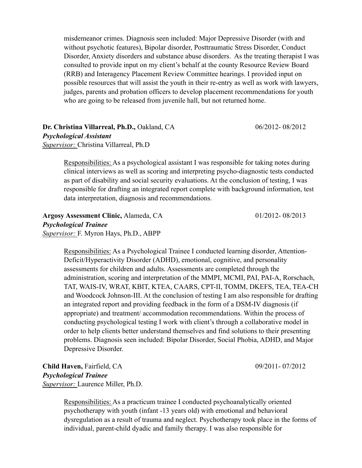misdemeanor crimes. Diagnosis seen included: Major Depressive Disorder (with and without psychotic features), Bipolar disorder, Posttraumatic Stress Disorder, Conduct Disorder, Anxiety disorders and substance abuse disorders. As the treating therapist I was consulted to provide input on my client's behalf at the county Resource Review Board (RRB) and Interagency Placement Review Committee hearings. I provided input on possible resources that will assist the youth in their re-entry as well as work with lawyers, judges, parents and probation officers to develop placement recommendations for youth who are going to be released from juvenile hall, but not returned home.

**Dr. Christina Villarreal, Ph.D.,** Oakland, CA 06/2012- 08/2012 *Psychological Assistant Supervisor:* Christina Villarreal, Ph.D

Responsibilities: As a psychological assistant I was responsible for taking notes during clinical interviews as well as scoring and interpreting psycho-diagnostic tests conducted as part of disability and social security evaluations. At the conclusion of testing, I was responsible for drafting an integrated report complete with background information, test data interpretation, diagnosis and recommendations.

**Argosy Assessment Clinic,** Alameda, CA 01/2012- 08/2013 *Psychological Trainee Supervisor:* F. Myron Hays, Ph.D., ABPP

Responsibilities: As a Psychological Trainee I conducted learning disorder, Attention-Deficit/Hyperactivity Disorder (ADHD), emotional, cognitive, and personality assessments for children and adults. Assessments are completed through the administration, scoring and interpretation of the MMPI, MCMI, PAI, PAI-A, Rorschach, TAT, WAIS-IV, WRAT, KBIT, KTEA, CAARS, CPT-II, TOMM, DKEFS, TEA, TEA-CH and Woodcock Johnson-III. At the conclusion of testing I am also responsible for drafting an integrated report and providing feedback in the form of a DSM-IV diagnosis (if appropriate) and treatment/ accommodation recommendations. Within the process of conducting psychological testing I work with client's through a collaborative model in order to help clients better understand themselves and find solutions to their presenting problems. Diagnosis seen included: Bipolar Disorder, Social Phobia, ADHD, and Major Depressive Disorder.

**Child Haven, Fairfield, CA** 09/2011- 07/2012 *Psychological Trainee Supervisor:* Laurence Miller, Ph.D.

Responsibilities: As a practicum trainee I conducted psychoanalytically oriented psychotherapy with youth (infant -13 years old) with emotional and behavioral dysregulation as a result of trauma and neglect. Psychotherapy took place in the forms of individual, parent-child dyadic and family therapy. I was also responsible for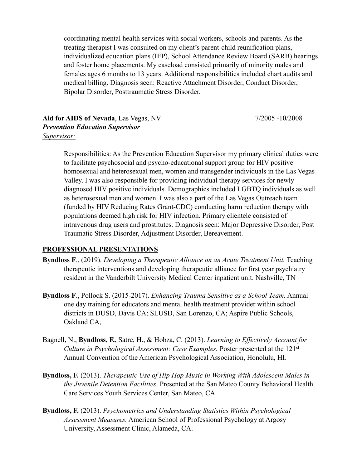coordinating mental health services with social workers, schools and parents. As the treating therapist I was consulted on my client's parent-child reunification plans, individualized education plans (IEP), School Attendance Review Board (SARB) hearings and foster home placements. My caseload consisted primarily of minority males and females ages 6 months to 13 years. Additional responsibilities included chart audits and medical billing. Diagnosis seen: Reactive Attachment Disorder, Conduct Disorder, Bipolar Disorder, Posttraumatic Stress Disorder.

**Aid for AIDS of Nevada**, Las Vegas, NV 7/2005 -10/2008 *Prevention Education Supervisor Supervisor:*

Responsibilities: As the Prevention Education Supervisor my primary clinical duties were to facilitate psychosocial and psycho-educational support group for HIV positive homosexual and heterosexual men, women and transgender individuals in the Las Vegas Valley. I was also responsible for providing individual therapy services for newly diagnosed HIV positive individuals. Demographics included LGBTQ individuals as well as heterosexual men and women. I was also a part of the Las Vegas Outreach team (funded by HIV Reducing Rates Grant-CDC) conducting harm reduction therapy with populations deemed high risk for HIV infection. Primary clientele consisted of intravenous drug users and prostitutes. Diagnosis seen: Major Depressive Disorder, Post Traumatic Stress Disorder, Adjustment Disorder, Bereavement.

## **PROFESSIONAL PRESENTATIONS**

- **Byndloss F**., (2019). *Developing a Therapeutic Alliance on an Acute Treatment Unit.* Teaching therapeutic interventions and developing therapeutic alliance for first year psychiatry resident in the Vanderbilt University Medical Center inpatient unit. Nashville, TN
- **Byndloss F**., Pollock S. (2015-2017). *Enhancing Trauma Sensitive as a School Team.* Annual one day training for educators and mental health treatment provider within school districts in DUSD, Davis CA; SLUSD, San Lorenzo, CA; Aspire Public Schools, Oakland CA,
- Bagnell, N., **Byndloss, F.**, Satre, H., & Hobza, C. (2013). *Learning to Effectively Account for Culture in Psychological Assessment: Case Examples.* Poster presented at the 121st Annual Convention of the American Psychological Association, Honolulu, HI.
- **Byndloss, F.** (2013). *Therapeutic Use of Hip Hop Music in Working With Adolescent Males in the Juvenile Detention Facilities.* Presented at the San Mateo County Behavioral Health Care Services Youth Services Center, San Mateo, CA.
- **Byndloss, F.** (2013). *Psychometrics and Understanding Statistics Within Psychological Assessment Measures.* American School of Professional Psychology at Argosy University, Assessment Clinic, Alameda, CA.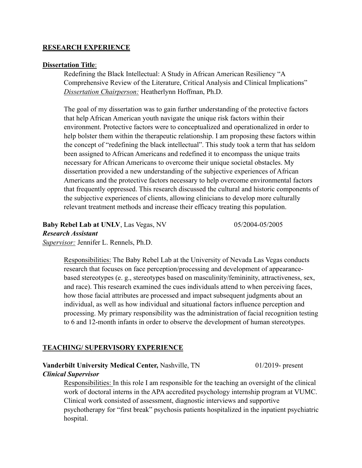# **RESEARCH EXPERIENCE**

#### **Dissertation Title**:

Redefining the Black Intellectual: A Study in African American Resiliency "A Comprehensive Review of the Literature, Critical Analysis and Clinical Implications" *Dissertation Chairperson:* Heatherlynn Hoffman, Ph.D.

The goal of my dissertation was to gain further understanding of the protective factors that help African American youth navigate the unique risk factors within their environment. Protective factors were to conceptualized and operationalized in order to help bolster them within the therapeutic relationship. I am proposing these factors within the concept of "redefining the black intellectual". This study took a term that has seldom been assigned to African Americans and redefined it to encompass the unique traits necessary for African Americans to overcome their unique societal obstacles. My dissertation provided a new understanding of the subjective experiences of African Americans and the protective factors necessary to help overcome environmental factors that frequently oppressed. This research discussed the cultural and historic components of the subjective experiences of clients, allowing clinicians to develop more culturally relevant treatment methods and increase their efficacy treating this population.

**Baby Rebel Lab at UNLV**, Las Vegas, NV 05/2004-05/2005 *Research Assistant Supervisor:* Jennifer L. Rennels, Ph.D.

Responsibilities: The Baby Rebel Lab at the University of Nevada Las Vegas conducts research that focuses on face perception/processing and development of appearancebased stereotypes (e. g., stereotypes based on masculinity/femininity, attractiveness, sex, and race). This research examined the cues individuals attend to when perceiving faces, how those facial attributes are processed and impact subsequent judgments about an individual, as well as how individual and situational factors influence perception and processing. My primary responsibility was the administration of facial recognition testing to 6 and 12-month infants in order to observe the development of human stereotypes.

## **TEACHING/ SUPERVISORY EXPERIENCE**

# **Vanderbilt University Medical Center, Nashville, TN** 01/2019- present *Clinical Supervisor*

Responsibilities: In this role I am responsible for the teaching an oversight of the clinical work of doctoral interns in the APA accredited psychology internship program at VUMC. Clinical work consisted of assessment, diagnostic interviews and supportive psychotherapy for "first break" psychosis patients hospitalized in the inpatient psychiatric hospital.